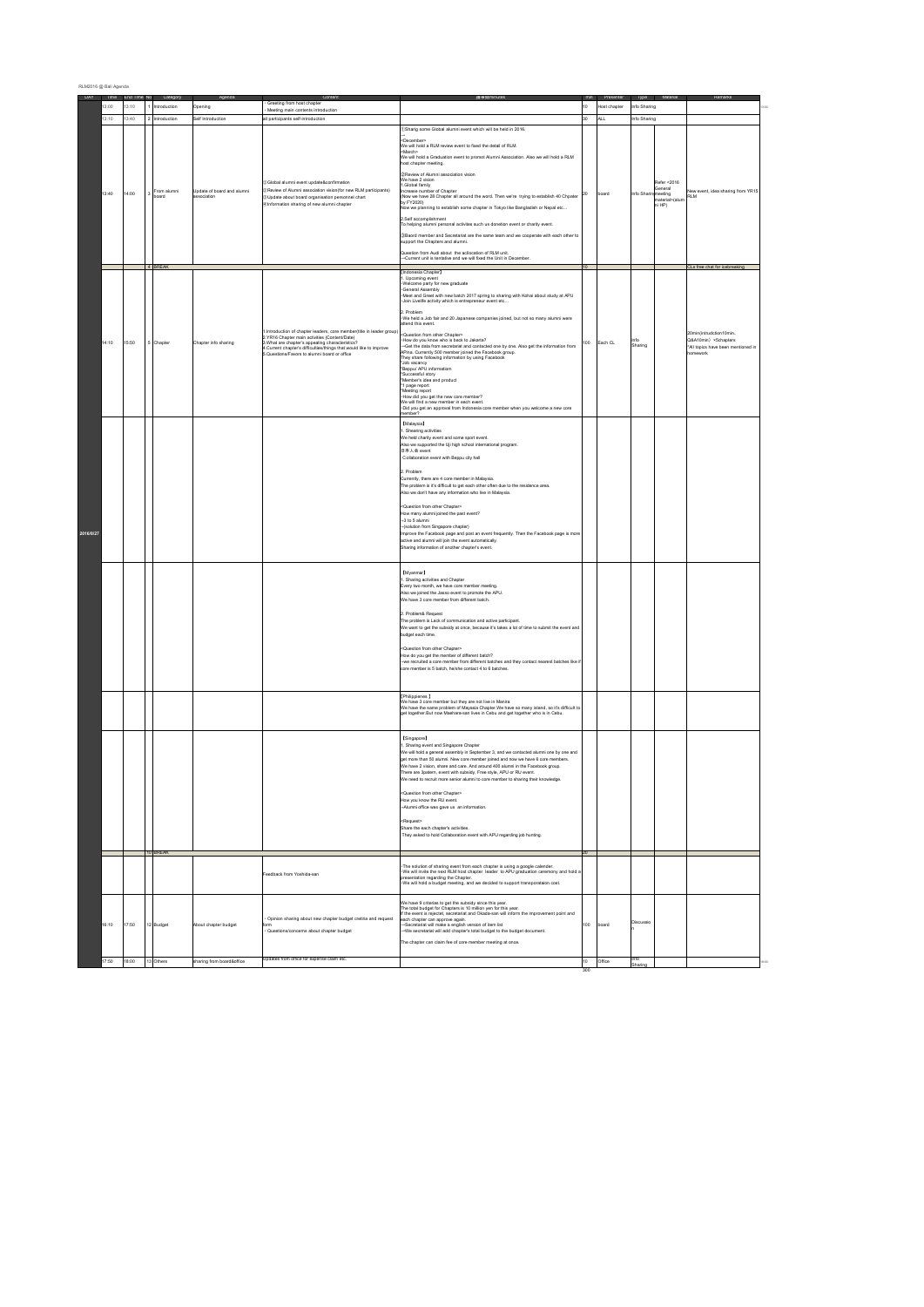| RLM2016 @ Bali Agenda |       |                              |                     |                                           |                                                                                                                                                                                                                                                                                                   |                                                                                                                                                                                                                                                                                                                                                                                                                                                                                                                                                                                                                                                                                                                                                                                                                                                                                                                                                 |     |                      |                     |                                                              |                                                                                                |
|-----------------------|-------|------------------------------|---------------------|-------------------------------------------|---------------------------------------------------------------------------------------------------------------------------------------------------------------------------------------------------------------------------------------------------------------------------------------------------|-------------------------------------------------------------------------------------------------------------------------------------------------------------------------------------------------------------------------------------------------------------------------------------------------------------------------------------------------------------------------------------------------------------------------------------------------------------------------------------------------------------------------------------------------------------------------------------------------------------------------------------------------------------------------------------------------------------------------------------------------------------------------------------------------------------------------------------------------------------------------------------------------------------------------------------------------|-----|----------------------|---------------------|--------------------------------------------------------------|------------------------------------------------------------------------------------------------|
|                       | 3:00  | DAY Time End Time No<br>3:10 | Cated<br>troduction | Opening                                   | Greeting from host chapte<br>Meeting main contents introduction                                                                                                                                                                                                                                   | 議事級minute                                                                                                                                                                                                                                                                                                                                                                                                                                                                                                                                                                                                                                                                                                                                                                                                                                                                                                                                       | 10  | Pres<br>lost chapter | Type<br>nfo Sharing |                                                              |                                                                                                |
|                       | 3:10  | 13:40                        | 2 Introduction      | Self Introduction                         | all participants self-introduction                                                                                                                                                                                                                                                                |                                                                                                                                                                                                                                                                                                                                                                                                                                                                                                                                                                                                                                                                                                                                                                                                                                                                                                                                                 | 30  | ALL.                 | nfo Sharing         |                                                              |                                                                                                |
| 2016/8/27             | 13:40 | 14:00                        | rom alumni<br>oard  | Update of board and alumni<br>association | DGlobal alumni event upda<br>2 Review of Alumni association vision(for new RLM participants)<br>@Update about board organisation personnel chart<br>@Information sharing of new alumni chapter                                                                                                    | DSharig some Global alumni event which will be held in 2016.<br>:December<br>We will hold a RLM review event to fixed the detail of RLM.<br>March><br>.<br>Ve will hold a Graduation event to promot Alumni Association. Also we will hold a RLM<br>ost chapter meeting.<br>2 Review of Alumni association vision<br>Ve have 2 vision<br>Global family<br>ncrease number of Chapter<br>Yow we have 28 Chapter all around the word. Then we're trying to establish 40 Chpater<br>by FY2020)<br>low we planning to establish some chapter in Tokyo like Bangladish or Nepal etc<br>2.Self accomplishment<br>o helping alumni personal activites such us donetion event or charity event.<br>3) Baord member and Secretariat are the same team and we cooperate with each other to<br>support the Chapters and alumni<br>uestion from Audi about the acliocation of RLM unit.<br>-Current unit is tentative and we will fixed the Unit in December | 20  | oard                 | nfo Shari           | left < 2016<br>General<br>neeting<br>aterial>(alun<br>ni HP) | w event, idea sharing from YR15<br><br>RLM                                                     |
|                       |       |                              |                     |                                           |                                                                                                                                                                                                                                                                                                   | Indonesia Chapter                                                                                                                                                                                                                                                                                                                                                                                                                                                                                                                                                                                                                                                                                                                                                                                                                                                                                                                               |     |                      |                     |                                                              | CLs free chat for icebreaking                                                                  |
|                       | 14:10 | 15:50                        | Chapter             | Chapter info sharing                      | I.Introduction of chapter leaders, core member(title in leader group)<br>2.YR16 Chapter main activities (Content/Date)<br>3. What are chapter's appealing characteristics?<br>4. Current chapter's difficulties/things that would like to improve<br>5.Questions/Favors to alumni board or office | Upcoming event<br>Welcome party for new graduate<br>General Assembly<br>Consumersed in the mark of 2017 spring to sharing with Kohai about study at APU<br>- Join Livelife activity which is entrepreneur event etc<br>Problem<br>We held a Job fair and 20 Japanese companies joined, but not so many alumni were<br>tend this event.<br>Question from other Chapter><br>How do you know who is back to Jakarta?<br>-Get the data from secretariat and contacted one by one. Also get the information from<br>Apina. Currently 500 member joined the Facebook group.<br>They share following information by using Facebook<br>Job vacancy<br>Beppu/ APU informatiom<br>Successful story<br>Member's idea and product<br>1 page report<br>Meeting report<br>How did you get the new core member?<br>We will find a new member in each event.<br>Did you get an approval from Indonesia core member when you welcome a new core<br>ember         | 100 | Each CL              | Info<br>Sharing     |                                                              | 0min(intrudction10min.<br>Q&A10min) ×5chapters<br>'All topics have been mentioned in<br>mework |
|                       |       |                              |                     |                                           |                                                                                                                                                                                                                                                                                                   | [Malaysia]<br>. Shearing activities<br>We held charity event and some sport event.<br>Nso we supported the Uji high school international program.<br>heart A L & R<br>C ollaboration event with Beppu city hall<br>Problem<br>Currently, there are 4 core member in Malaysia.<br>The problem is it's difficult to get each other often due to the residence area.<br>Nso we don't have any information who live in Malaysia<br>Question from other Chapter><br>low many alumni joined the past event?<br>-3 to 5 alumni<br>(solution from Singapore chapter)<br>mprove the Facebook page and post an event frequently. Then the Facebook page is more<br>ctive and alumni will join the event automatically.<br>Sharing information of another chapter's event.                                                                                                                                                                                 |     |                      |                     |                                                              |                                                                                                |
|                       |       |                              |                     |                                           |                                                                                                                                                                                                                                                                                                   | <b>IMvanmar1</b><br>. Sharing activities and Chapter<br>Every two month, we have core member meeting<br>Also we joined the Jasso event to promote the APU.<br>We have 3 core member from different batch.<br>2. Problem& Request<br>The problem is Lack of communication and active participant.<br>We want to get the subsidy at once, because it's takes a lot of time to submit the event and<br>budget each time.<br>Question from other Chapter><br>low do you get the member of different batch?<br>we recruited a core member from different batches and they contact nearest batches like i<br>ore member is 5 batch, he/she contact 4 to 6 batches.<br>[Philippienes]<br>Ne have 3 core member but they are not live in Manira                                                                                                                                                                                                         |     |                      |                     |                                                              |                                                                                                |
|                       |       |                              |                     |                                           |                                                                                                                                                                                                                                                                                                   | [Singapore]<br>Sharing event and Singapore Chapter<br>We will hold a general assembly in September 3, and we contacted alumni one by one and<br>get more than 50 alumni. New core member joined and now we have 6 core members.<br>We have 2 vision, share and care. And around 400 alumni in the Facebook group.<br>There are 3patern, event with subsidy, Free style, APU or RU event.<br>We need to recruit more senior alumni to core member to sharing their knowledge<br>Question from other Chapter><br>How you know the RU event.<br>Alumni office was gave us an information.<br>Request><br>Share the each chapter's activities.<br>They asked to hold Collaboration event with APU regarding job hunting.                                                                                                                                                                                                                            |     |                      |                     |                                                              |                                                                                                |
|                       |       |                              | <b>RFAK</b>         |                                           |                                                                                                                                                                                                                                                                                                   |                                                                                                                                                                                                                                                                                                                                                                                                                                                                                                                                                                                                                                                                                                                                                                                                                                                                                                                                                 |     |                      |                     |                                                              |                                                                                                |
|                       |       |                              |                     |                                           | Feedback from Yoshida-san                                                                                                                                                                                                                                                                         | The solution of sharing event from each chapter is using a google calender.<br>We will invite the next RLM host chapter leader to APU graduation ceremony and hold a<br>resentation regarding the Chapter.<br>We will hold a budget meeting, and we decided to support transporataion cost.                                                                                                                                                                                                                                                                                                                                                                                                                                                                                                                                                                                                                                                     |     |                      |                     |                                                              |                                                                                                |
|                       | 16:10 | 17:50                        | 12 Budget           | Nout chapter budget                       | Opinion sharing about new chapter budget cretiria and request<br>- Questions/concerns about chapter budget                                                                                                                                                                                        | We have 9 criterias to get the subsidy since this year.<br>The total budget for Chapters is 10 million yen for this year.<br>The total budget for Chapters is 10 million yen for this year.<br>If the event is rejectet, secretariat and Okada-san will inform the improvement point and<br>sach chapter can approve again.<br>-Secretariat will make a english version of item list<br>-We secretariat will add chapter's total budget to the budget document.<br>The chapter can claim fee of core member meeting at once.                                                                                                                                                                                                                                                                                                                                                                                                                    | 100 | oard                 | liscussi            |                                                              |                                                                                                |
|                       | 17:50 | 18:00                        | 13 Others           | sharing from board&office                 | Updates from office for expense claim etc.                                                                                                                                                                                                                                                        |                                                                                                                                                                                                                                                                                                                                                                                                                                                                                                                                                                                                                                                                                                                                                                                                                                                                                                                                                 | 10  | Office               | nfo<br>Sharing      |                                                              |                                                                                                |
|                       |       |                              |                     |                                           |                                                                                                                                                                                                                                                                                                   |                                                                                                                                                                                                                                                                                                                                                                                                                                                                                                                                                                                                                                                                                                                                                                                                                                                                                                                                                 |     |                      |                     |                                                              |                                                                                                |